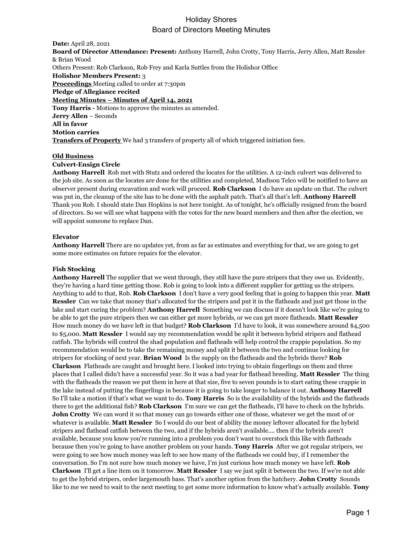## Holiday Shores Board of Directors Meeting Minutes

**Date:** April 28, 2021 **Board of Director Attendance: Present:** Anthony Harrell, John Crotty, Tony Harris, Jerry Allen, Matt Ressler & Brian Wood Others Present: Rob Clarkson, Rob Frey and Karla Suttles from the Holishor Office **Holishor Members Present:** 3 **Proceedings** Meeting called to order at 7:30pm **Pledge of Allegiance recited Meeting Minutes – Minutes of April 14, 2021 Tony Harris -** Motions to approve the minutes as amended. **Jerry Allen** – Seconds **All in favor Motion carries Transfers of Property** We had 3 transfers of property all of which triggered initiation fees.

### **Old Business**

### **Culvert-Ensign Circle**

**Anthony Harrell** Rob met with Stutz and ordered the locates for the utilities. A 12-inch culvert was delivered to the job site. As soon as the locates are done for the utilities and completed, Madison Telco will be notified to have an observer present during excavation and work will proceed. **Rob Clarkson** I do have an update on that. The culvert was put in, the cleanup of the site has to be done with the asphalt patch. That's all that's left. **Anthony Harrell** Thank you Rob. I should state Dan Hopkins is not here tonight. As of tonight, he's officially resigned from the board of directors. So we will see what happens with the votes for the new board members and then after the election, we will appoint someone to replace Dan.

### **Elevator**

**Anthony Harrell** There are no updates yet, from as far as estimates and everything for that, we are going to get some more estimates on future repairs for the elevator.

### **Fish Stocking**

**Anthony Harrell** The supplier that we went through, they still have the pure stripers that they owe us. Evidently, they're having a hard time getting those. Rob is going to look into a different supplier for getting us the stripers. Anything to add to that, Rob. **Rob Clarkson** I don't have a very good feeling that is going to happen this year. **Matt Ressler** Can we take that money that's allocated for the stripers and put it in the flatheads and just get those in the lake and start curing the problem? **Anthony Harrell** Something we can discuss if it doesn't look like we're going to be able to get the pure stripers then we can either get more hybrids, or we can get more flatheads. **Matt Ressler** How much money do we have left in that budget? **Rob Clarkson** I'd have to look, it was somewhere around \$4,500 to \$5,000. **Matt Ressler** I would say my recommendation would be split it between hybrid stripers and flathead catfish. The hybrids will control the shad population and flatheads will help control the crappie population. So my recommendation would be to take the remaining money and split it between the two and continue looking for stripers for stocking of next year. **Brian Wood** Is the supply on the flatheads and the hybrids there? **Rob Clarkson** Flatheads are caught and brought here. I looked into trying to obtain fingerlings on them and three places that I called didn't have a successful year. So it was a bad year for flathead breeding. **Matt Ressler** The thing with the flatheads the reason we put them in here at that size, five to seven pounds is to start eating these crappie in the lake instead of putting the fingerlings in because it is going to take longer to balance it out. **Anthony Harrell** So I'll take a motion if that's what we want to do. **Tony Harris** So is the availability of the hybrids and the flatheads there to get the additional fish? **Rob Clarkson** I'm sure we can get the flatheads, I'll have to check on the hybrids. **John Crotty** We can word it so that money can go towards either one of those, whatever we get the most of or whatever is available. **Matt Ressler** So I would do our best of ability the money leftover allocated for the hybrid stripers and flathead catfish between the two, and if the hybrids aren't available.... then if the hybrids aren't available, because you know you're running into a problem you don't want to overstock this like with flatheads because then you're going to have another problem on your hands. **Tony Harris** After we got regular stripers, we were going to see how much money was left to see how many of the flatheads we could buy, if I remember the conversation. So I'm not sure how much money we have, I'm just curious how much money we have left. **Rob Clarkson** I'll get a line item on it tomorrow. **Matt Ressler** I say we just split it between the two. If we're not able to get the hybrid stripers, order largemouth bass. That's another option from the hatchery. **John Crotty** Sounds like to me we need to wait to the next meeting to get some more information to know what's actually available. **Tony**